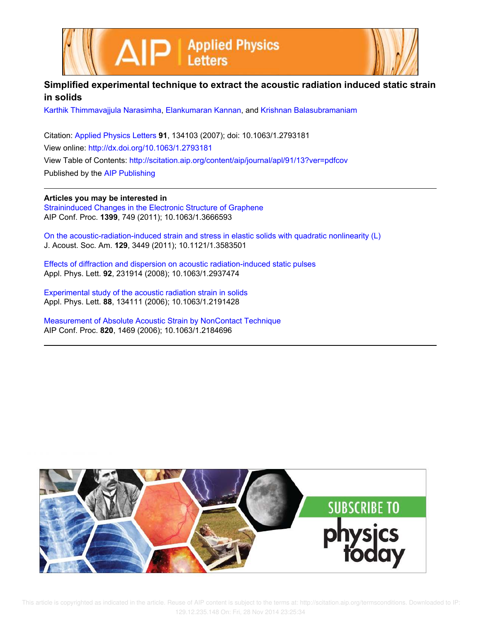

## **Simplified experimental technique to extract the acoustic radiation induced static strain in solids**

Karthik Thimmavajjula Narasimha, Elankumaran Kannan, and Krishnan Balasubramaniam

Citation: Applied Physics Letters **91**, 134103 (2007); doi: 10.1063/1.2793181 View online: http://dx.doi.org/10.1063/1.2793181 View Table of Contents: http://scitation.aip.org/content/aip/journal/apl/91/13?ver=pdfcov Published by the AIP Publishing

**Articles you may be interested in** Straininduced Changes in the Electronic Structure of Graphene AIP Conf. Proc. **1399**, 749 (2011); 10.1063/1.3666593

On the acoustic-radiation-induced strain and stress in elastic solids with quadratic nonlinearity (L) J. Acoust. Soc. Am. **129**, 3449 (2011); 10.1121/1.3583501

Effects of diffraction and dispersion on acoustic radiation-induced static pulses Appl. Phys. Lett. **92**, 231914 (2008); 10.1063/1.2937474

Experimental study of the acoustic radiation strain in solids Appl. Phys. Lett. **88**, 134111 (2006); 10.1063/1.2191428

Measurement of Absolute Acoustic Strain by NonContact Technique AIP Conf. Proc. **820**, 1469 (2006); 10.1063/1.2184696

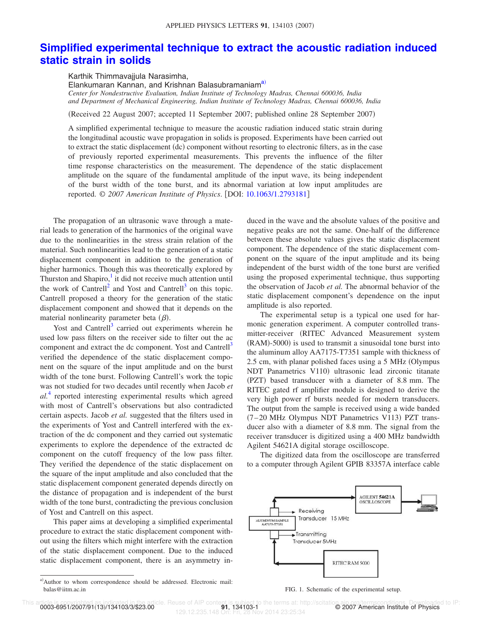## **Simplified experimental technique to extract the acoustic radiation induced static strain in solids**

Karthik Thimmavajjula Narasimha, Elankumaran Kannan, and Krishnan Balasubramaniam<sup>a)</sup> *Center for Nondestructive Evaluation, Indian Institute of Technology Madras, Chennai 600036, India and Department of Mechanical Engineering, Indian Institute of Technology Madras, Chennai 600036, India*

Received 22 August 2007; accepted 11 September 2007; published online 28 September 2007-

A simplified experimental technique to measure the acoustic radiation induced static strain during the longitudinal acoustic wave propagation in solids is proposed. Experiments have been carried out to extract the static displacement (dc) component without resorting to electronic filters, as in the case of previously reported experimental measurements. This prevents the influence of the filter time response characteristics on the measurement. The dependence of the static displacement amplitude on the square of the fundamental amplitude of the input wave, its being independent of the burst width of the tone burst, and its abnormal variation at low input amplitudes are reported. © *2007 American Institute of Physics*. DOI: 10.1063/1.2793181

The propagation of an ultrasonic wave through a material leads to generation of the harmonics of the original wave due to the nonlinearities in the stress strain relation of the material. Such nonlinearities lead to the generation of a static displacement component in addition to the generation of higher harmonics. Though this was theoretically explored by Thurston and Shapiro,<sup>1</sup> it did not receive much attention until the work of Cantrell<sup>2</sup> and Yost and Cantrell<sup>3</sup> on this topic. Cantrell proposed a theory for the generation of the static displacement component and showed that it depends on the material nonlinearity parameter beta  $(\beta)$ .

Yost and Cantrell<sup>3</sup> carried out experiments wherein he used low pass filters on the receiver side to filter out the ac component and extract the dc component. Yost and Cantrell<sup>3</sup> verified the dependence of the static displacement component on the square of the input amplitude and on the burst width of the tone burst. Following Cantrell's work the topic was not studied for two decades until recently when Jacob *et al.*<sup>4</sup> reported interesting experimental results which agreed with most of Cantrell's observations but also contradicted certain aspects. Jacob *et al.* suggested that the filters used in the experiments of Yost and Cantrell interfered with the extraction of the dc component and they carried out systematic experiments to explore the dependence of the extracted dc component on the cutoff frequency of the low pass filter. They verified the dependence of the static displacement on the square of the input amplitude and also concluded that the static displacement component generated depends directly on the distance of propagation and is independent of the burst width of the tone burst, contradicting the previous conclusion of Yost and Cantrell on this aspect.

This paper aims at developing a simplified experimental procedure to extract the static displacement component without using the filters which might interfere with the extraction of the static displacement component. Due to the induced static displacement component, there is an asymmetry induced in the wave and the absolute values of the positive and negative peaks are not the same. One-half of the difference between these absolute values gives the static displacement component. The dependence of the static displacement component on the square of the input amplitude and its being independent of the burst width of the tone burst are verified using the proposed experimental technique, thus supporting the observation of Jacob *et al.* The abnormal behavior of the static displacement component's dependence on the input amplitude is also reported.

The experimental setup is a typical one used for harmonic generation experiment. A computer controlled transmitter-receiver (RITEC Advanced Measurement system (RAM)-5000) is used to transmit a sinusoidal tone burst into the aluminum alloy AA7175-T7351 sample with thickness of 2.5 cm, with planar polished faces using a 5 MHz (Olympus NDT Panametrics V110) ultrasonic lead zirconic titanate (PZT) based transducer with a diameter of 8.8 mm. The RITEC gated rf amplifier module is designed to derive the very high power rf bursts needed for modern transducers. The output from the sample is received using a wide banded (7-20 MHz Olympus NDT Panametrics V113) PZT transducer also with a diameter of 8.8 mm. The signal from the receiver transducer is digitized using a 400 MHz bandwidth Agilent 54621A digital storage oscilloscope.

The digitized data from the oscilloscope are transferred to a computer through Agilent GPIB 83357A interface cable



This article is copyrighted as indicated in the article. Reuse of AIP content is subject to the terms at: http://scitation.aip.org/termsconditions. Downloaded to IP:<br>0003-6951/2007/91(13)/134103/3/\$23.00 129.12.235.148 On: Fri, 28 Nov 2014 23:25:34

a)Author to whom correspondence should be addressed. Electronic mail: balas@iitm.ac.in **FIG.** 1. Schematic of the experimental setup.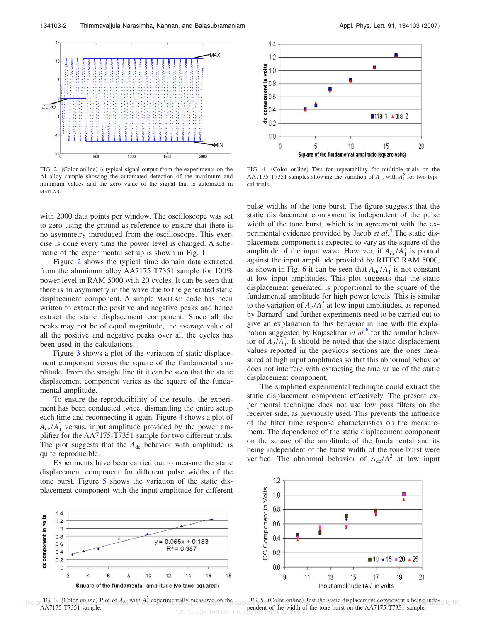

FIG. 2. (Color online) A typical signal output from the experiments on the Al alloy sample showing the automated detection of the maximum and minimum values and the zero value of the signal that is automated in MATLAB.

with 2000 data points per window. The oscilloscope was set to zero using the ground as reference to ensure that there is no asymmetry introduced from the oscilloscope. This exercise is done every time the power level is changed. A schematic of the experimental set up is shown in Fig. 1.

Figure 2 shows the typical time domain data extracted from the aluminum alloy AA7175 T7351 sample for 100% power level in RAM 5000 with 20 cycles. It can be seen that there is an asymmetry in the wave due to the generated static displacement component. A simple MATLAB code has been written to extract the positive and negative peaks and hence extract the static displacement component. Since all the peaks may not be of equal magnitude, the average value of all the positive and negative peaks over all the cycles has been used in the calculations.

Figure 3 shows a plot of the variation of static displacement component versus the square of the fundamental amplitude. From the straight line fit it can be seen that the static displacement component varies as the square of the fundamental amplitude.

To ensure the reproducibility of the results, the experiment has been conducted twice, dismantling the entire setup each time and reconnecting it again. Figure 4 shows a plot of  $A_{\text{dc}}/A_1^2$  versus. input amplitude provided by the power amplifier for the AA7175-T7351 sample for two different trials. The plot suggests that the  $A_{dc}$  behavior with amplitude is quite reproducible.

Experiments have been carried out to measure the static displacement component for different pulse widths of the tone burst. Figure 5 shows the variation of the static displacement component with the input amplitude for different



FIG. 4. (Color online) Test for repeatability for multiple trials on the AA7175-T7351 samples showing the variation of  $A_{dc}$  with  $A_1^2$  for two typical trials.

pulse widths of the tone burst. The figure suggests that the static displacement component is independent of the pulse width of the tone burst, which is in agreement with the experimental evidence provided by Jacob *et al.*<sup>4</sup> The static displacement component is expected to vary as the square of the amplitude of the input wave. However, if  $A_{\text{dc}}/A_1^2$  is plotted against the input amplitude provided by RITEC RAM 5000, as shown in Fig. 6 it can be seen that  $A_{dc}/A_1^2$  is not constant at low input amplitudes. This plot suggests that the static displacement generated is proportional to the square of the fundamental amplitude for high power levels. This is similar to the variation of  $A_2/A_1^2$  at low input amplitudes, as reported by Barnard<sup>5</sup> and further experiments need to be carried out to give an explanation to this behavior in line with the explanation suggested by Rajasekhar *et al.*<sup>6</sup> for the similar behavior of  $A_2/A_1^2$ . It should be noted that the static displacement values reported in the previous sections are the ones measured at high input amplitudes so that this abnormal behavior does not interfere with extracting the true value of the static displacement component.

The simplified experimental technique could extract the static displacement component effectively. The present experimental technique does not use low pass filters on the receiver side, as previously used. This prevents the influence of the filter time response characteristics on the measurement. The dependence of the static displacement component on the square of the amplitude of the fundamental and its being independent of the burst width of the tone burst were verified. The abnormal behavior of  $A_{\text{dc}}/A_1^2$  at low input



 $1.2$ 

FIG. 3. (Color online) Plot of  $A_{\text{dc}}$  with  $A_1^2$  experimentally measured on the AA7175-T7351 sample. This a FIG. 3. (Color online) Plot of A<sub>dd</sub> with  $A^2$  experimentally measured on the subject of the detection online) Test the static displacement component's being indeed to IP: 129.12.235.148 On: Fri, 28 Nov 2014 23:25:34<br>
129.12.235.148 On: Fri, 28 Nov 2014 23:25:34